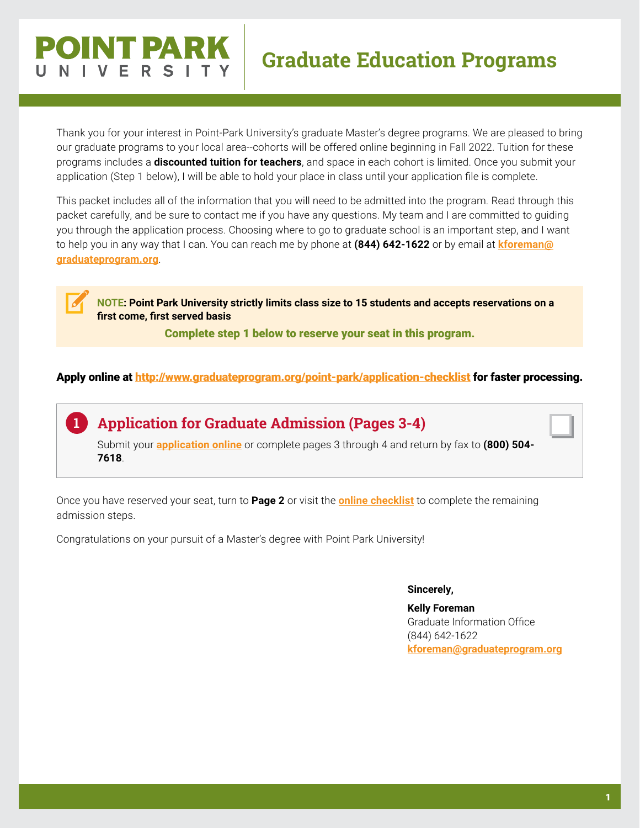# INT DAI

# **Graduate Education Programs**

Thank you for your interest in Point-Park University's graduate Master's degree programs. We are pleased to bring our graduate programs to your local area--cohorts will be offered online beginning in Fall 2022. Tuition for these programs includes a **discounted tuition for teachers**, and space in each cohort is limited. Once you submit your application (Step 1 below), I will be able to hold your place in class until your application file is complete.

This packet includes all of the information that you will need to be admitted into the program. Read through this packet carefully, and be sure to contact me if you have any questions. My team and I are committed to guiding you through the application process. Choosing where to go to graduate school is an important step, and I want to help you in any way that I can. You can reach me by phone at **(844) 642-1622** or by email at **kforeman[@](mailto:kforeman%40graduateprogram.org?subject=) [graduateprogram.org](mailto:kforeman%40graduateprogram.org?subject=)**.

**NOTE: Point Park University strictly limits class size to 15 students and accepts reservations on a first come, first served basis** 

Complete step 1 below to reserve your seat in this program.

Apply online at<http://www.graduateprogram.org/point-park/application-checklist> for faster processing.

**Application for Graduate Admission (Pages 3-4) 1** Submit your **[application online](https://www.appforms.net/form/PPUOnlineApplication/index.html)** or complete pages 3 through 4 and return by fax to **(800) 504- 7618**.

Once you have reserved your seat, turn to **Page 2** or visit the **[online checklist](http://www.graduateprogram.org/point-park/application-checklist)** to complete the remaining admission steps.

Congratulations on your pursuit of a Master's degree with Point Park University!

#### **Sincerely,**

**Kelly Foreman** Graduate Information Office (844) 642-1622 **kforema[n@graduateprogram.org](mailto:kforeman%40graduateprogram.org?subject=)**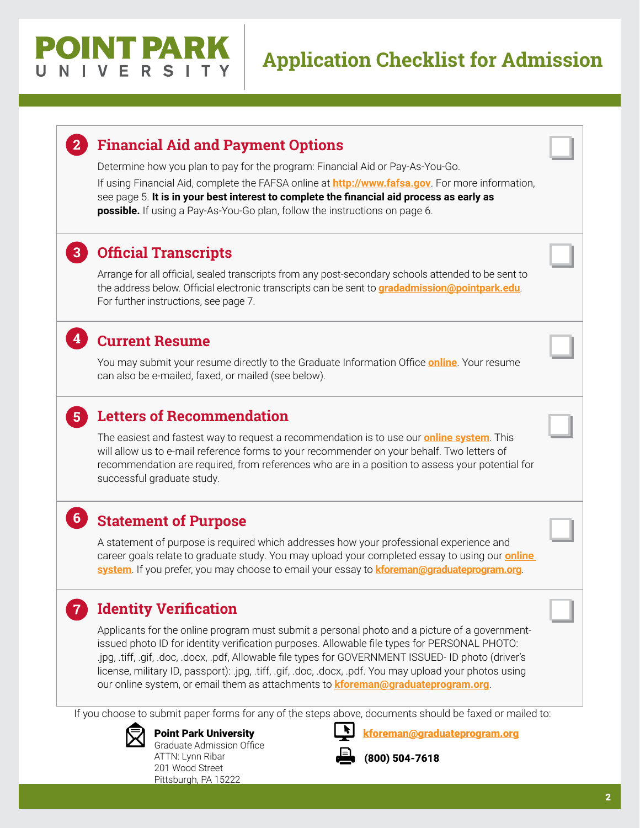# OINT PARK

# **Application Checklist for Admission**

# **Financial Aid and Payment Options 2**

Determine how you plan to pay for the program: Financial Aid or Pay-As-You-Go.

If using Financial Aid, complete the [FAFS](http://www.fafsa.ed.gov)A online at **<http://www.fafsa.gov>**. For more information, see page 5. **It is in your best interest to complete the financial aid process as early as possible.** If using a Pay-As-You-Go plan, follow the instructions on page 6.

## **Official Transcripts 3**

Arrange for all official, sealed transcripts from any post-secondary schools attended to be sent to the address below. Official electronic transcripts can be sent to **[gradadmission@pointpark.edu](mailto:gradadmission%40pointpark.edu?subject=)**. For further instructions, see page 7.

## **Current Resume 4**

**5**

**7**

You may submit your resume directly to the Graduate Information Office **[online](https://www.appforms.net/form/PointParkResume/index.html)**. Your resume can also be e-mailed, faxed, or mailed (see below).

## **Letters of Recommendation**

The easiest and fastest way to request a recommendation is to use our **[online system](https://www.appforms.net/form/PPUReference/index.html)**. This will allow us to e-mail reference forms to your recommender on your behalf. Two letters of recommendation are required, from references who are in a position to assess your potential for successful graduate study.

## **Statement of Purpose 6**

A statement of purpose is required which addresses how your professional experience and career goals relate to graduate study. You may upload your completed essay to using our **[online](https://www.appforms.net/form/PointParkEssay/index.html)  [system](https://www.appforms.net/form/PointParkEssay/index.html)**. If you prefer, you may choose to email your essay to **kforema[n@graduateprogram.org](mailto:kforeman%40graduateprogram.org?subject=)**.

# **Identity Verification**

Applicants for the online program must submit a personal photo and a picture of a governmentissued photo ID for identity verification purposes. Allowable file types for PERSONAL PHOTO: .jpg, .tiff, .gif, .doc, .docx, .pdf, Allowable file types for GOVERNMENT ISSUED- ID photo (driver's license, military ID, passport): .jpg, .tiff, .gif, .doc, .docx, .pdf. You may upload your photos using our online system, or email them as attachments to **kforema[n@graduateprogram.org](mailto:mailto:kforeman%40graduateprogram.org?subject=)**.

If you choose to submit paper forms for any of the steps above, documents should be faxed or mailed to:



Point Park University Graduate Admission Office ATTN: Lynn Ribar 201 Wood Street Pittsburgh, PA 15222



kforema[n@graduateprogram.org](mailto:kforeman%40graduateprogram.org?subject=)

(800) 504-7618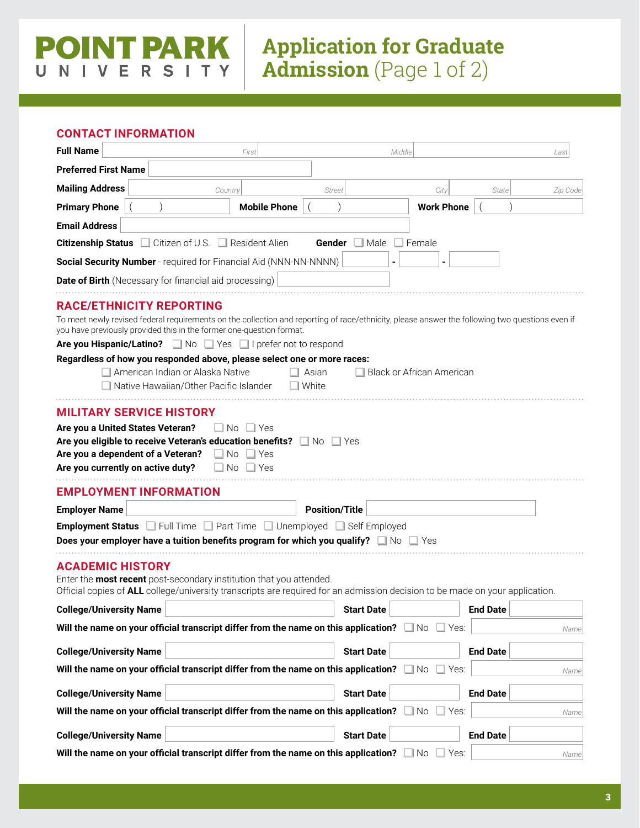# **Application for Graduate Admission** (Page 1 of 2)

#### **CONTACT INFORMATION**

 $\cup$ 

 $N<sub>1</sub>$ 

**POINT PARK** 

**VERSITY** 

| <b>Full Name</b><br>First                                                                                                                                                                                                                                    | Middle<br>Last                                                                                                                                  |
|--------------------------------------------------------------------------------------------------------------------------------------------------------------------------------------------------------------------------------------------------------------|-------------------------------------------------------------------------------------------------------------------------------------------------|
| <b>Preferred First Name</b>                                                                                                                                                                                                                                  |                                                                                                                                                 |
| <b>Mailing Address</b><br>Country                                                                                                                                                                                                                            | City<br>State<br>Zip Code<br><b>Street</b>                                                                                                      |
| <b>Mobile Phone</b><br><b>Primary Phone</b>                                                                                                                                                                                                                  | <b>Work Phone</b>                                                                                                                               |
| <b>Email Address</b>                                                                                                                                                                                                                                         |                                                                                                                                                 |
| <b>Citizenship Status c</b> Citizen of U.S.<br>$\Box$ Resident Alien                                                                                                                                                                                         | $\Box$ Male<br>Gender<br>Female                                                                                                                 |
| Social Security Number - required for Financial Aid (NNN-NN-NNNN)                                                                                                                                                                                            |                                                                                                                                                 |
| <b>Date of Birth</b> (Necessary for financial aid processing)                                                                                                                                                                                                |                                                                                                                                                 |
| <b>RACE/ETHNICITY REPORTING</b><br>you have previously provided this in the former one-question format.<br>Are you Hispanic/Latino? No Ves I prefer not to respond                                                                                           | To meet newly revised federal requirements on the collection and reporting of race/ethnicity, please answer the following two questions even if |
| Regardless of how you responded above, please select one or more races:                                                                                                                                                                                      |                                                                                                                                                 |
| American Indian or Alaska Native<br>Native Hawaiian/Other Pacific Islander                                                                                                                                                                                   | $\Box$ Black or African American<br>Asian<br>White                                                                                              |
| Are you a United States Veteran?<br>$\Box$ No $\Box$ Yes<br>Are you eligible to receive Veteran's education benefits? No Ves<br>Are you a dependent of a Veteran?<br>$\Box$ No<br>$\Box$ Yes<br>Are you currently on active duty?<br>$\Box$ No<br>$\Box$ Yes |                                                                                                                                                 |
| <b>EMPLOYMENT INFORMATION</b>                                                                                                                                                                                                                                |                                                                                                                                                 |
| <b>Employer Name</b>                                                                                                                                                                                                                                         | <b>Position/Title</b>                                                                                                                           |
| <b>Employment Status</b> Full Time Part Time Unemployed Self Employed                                                                                                                                                                                        |                                                                                                                                                 |
| Does your employer have a tuition benefits program for which you qualify? $\square \bowtie \square$ Yes                                                                                                                                                      |                                                                                                                                                 |
| <b>ACADEMIC HISTORY</b><br>Enter the most recent post-secondary institution that you attended.<br>Official copies of ALL college/university transcripts are required for an admission decision to be made on your application.                               |                                                                                                                                                 |
| <b>College/University Name</b>                                                                                                                                                                                                                               | <b>End Date</b><br><b>Start Date</b>                                                                                                            |
| Will the name on your official transcript differ from the name on this application? $\square \,$ No                                                                                                                                                          | $\Box$ Yes:<br>Name                                                                                                                             |
| <b>College/University Name</b>                                                                                                                                                                                                                               | <b>Start Date</b><br><b>End Date</b>                                                                                                            |
| Will the name on your official transcript differ from the name on this application?                                                                                                                                                                          | ⊟ No<br>$\Box$ Yes:<br>Name                                                                                                                     |
| <b>College/University Name</b>                                                                                                                                                                                                                               | <b>Start Date</b><br><b>End Date</b>                                                                                                            |
| Will the name on your official transcript differ from the name on this application? $\Box$ No                                                                                                                                                                | $\Box$ Yes:<br>Name                                                                                                                             |
| <b>College/University Name</b>                                                                                                                                                                                                                               | <b>End Date</b><br><b>Start Date</b>                                                                                                            |
| Will the name on your official transcript differ from the name on this application? $\Box$ No                                                                                                                                                                | $\Box$ Yes:<br>Name                                                                                                                             |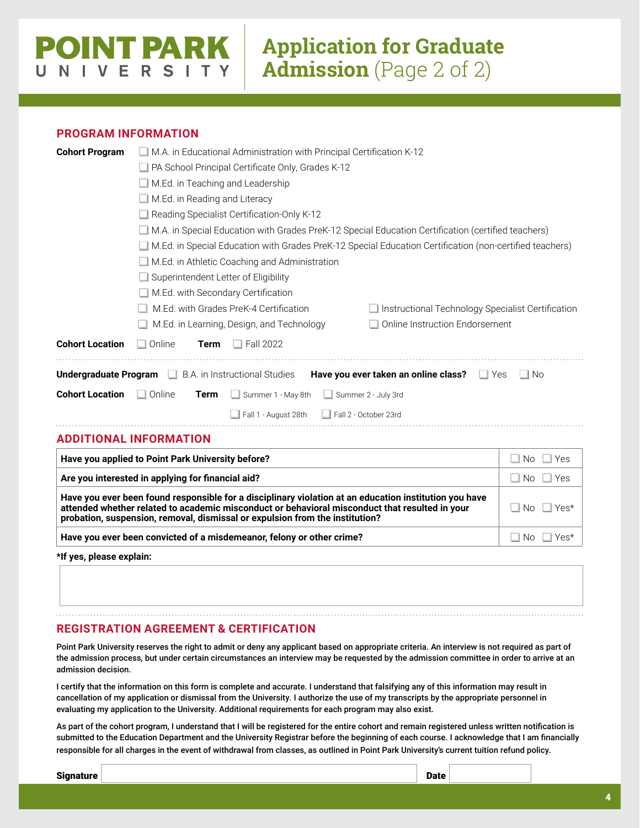# OINT PARK NIVERS

# **Application for Graduate Admission** (Page 2 of 2)

#### **PROGRAM INFORMATION**

P

| <b>Cohort Program</b>  | M.A. in Educational Administration with Principal Certification K-12 |                                                                                                                                                                                                                                                                                          |                          |
|------------------------|----------------------------------------------------------------------|------------------------------------------------------------------------------------------------------------------------------------------------------------------------------------------------------------------------------------------------------------------------------------------|--------------------------|
|                        | PA School Principal Certificate Only, Grades K-12                    |                                                                                                                                                                                                                                                                                          |                          |
|                        | $\Box$ M.Ed. in Teaching and Leadership                              |                                                                                                                                                                                                                                                                                          |                          |
|                        | $\Box$ M.Ed. in Reading and Literacy                                 |                                                                                                                                                                                                                                                                                          |                          |
|                        |                                                                      | Reading Specialist Certification-Only K-12                                                                                                                                                                                                                                               |                          |
|                        |                                                                      | M.A. in Special Education with Grades PreK-12 Special Education Certification (certified teachers)                                                                                                                                                                                       |                          |
|                        |                                                                      | M.Ed. in Special Education with Grades PreK-12 Special Education Certification (non-certified teachers)                                                                                                                                                                                  |                          |
|                        |                                                                      | $\Box$ M.Ed. in Athletic Coaching and Administration                                                                                                                                                                                                                                     |                          |
|                        |                                                                      | Superintendent Letter of Eligibility                                                                                                                                                                                                                                                     |                          |
|                        |                                                                      | M.Ed. with Secondary Certification                                                                                                                                                                                                                                                       |                          |
|                        |                                                                      | M.Ed. with Grades PreK-4 Certification<br>$\Box$ Instructional Technology Specialist Certification                                                                                                                                                                                       |                          |
|                        |                                                                      | M.Ed. in Learning, Design, and Technology<br>Online Instruction Endorsement                                                                                                                                                                                                              |                          |
| <b>Cohort Location</b> | $\Box$ Online<br><b>Term</b>                                         | $\Box$ Fall 2022                                                                                                                                                                                                                                                                         |                          |
| Undergraduate Program  |                                                                      | $\Box$ B.A. in Instructional Studies<br>Have you ever taken an online class?<br>$\Box$ Yes                                                                                                                                                                                               | ⊥l No                    |
| <b>Cohort Location</b> | $\Box$ Online<br>Term                                                | ப<br>Summer 1 - May 8th<br>Summer 2 - July 3rd                                                                                                                                                                                                                                           |                          |
|                        |                                                                      | $\Box$ Fall 2 - October 23rd<br>$\Box$ Fall 1 - August 28th                                                                                                                                                                                                                              |                          |
|                        | <b>ADDITIONAL INFORMATION</b>                                        |                                                                                                                                                                                                                                                                                          |                          |
|                        | Have you applied to Point Park University before?                    |                                                                                                                                                                                                                                                                                          | $\Box$ No<br>$\Box$ Yes  |
|                        | Are you interested in applying for financial aid?                    |                                                                                                                                                                                                                                                                                          | $\Box$ No $\Box$ Yes     |
|                        |                                                                      | Have you ever been found responsible for a disciplinary violation at an education institution you have<br>attended whether related to academic misconduct or behavioral misconduct that resulted in your<br>probation, suspension, removal, dismissal or expulsion from the institution? | <b>No</b><br>$\Box$ Yes* |
|                        |                                                                      | Have you ever been convicted of a misdemeanor, felony or other crime?                                                                                                                                                                                                                    | $\Box$ No<br>$\Box$ Yes* |

**\*If yes, please explain:**

#### **REGISTRATION AGREEMENT & CERTIFICATION**

Point Park University reserves the right to admit or deny any applicant based on appropriate criteria. An interview is not required as part of the admission process, but under certain circumstances an interview may be requested by the admission committee in order to arrive at an admission decision.

I certify that the information on this form is complete and accurate. I understand that falsifying any of this information may result in cancellation of my application or dismissal from the University. I authorize the use of my transcripts by the appropriate personnel in evaluating my application to the University. Additional requirements for each program may also exist.

As part of the cohort program, I understand that I will be registered for the entire cohort and remain registered unless written notification is submitted to the Education Department and the University Registrar before the beginning of each course. I acknowledge that I am financially responsible for all charges in the event of withdrawal from classes, as outlined in Point Park University's current tuition refund policy.

signature **Date**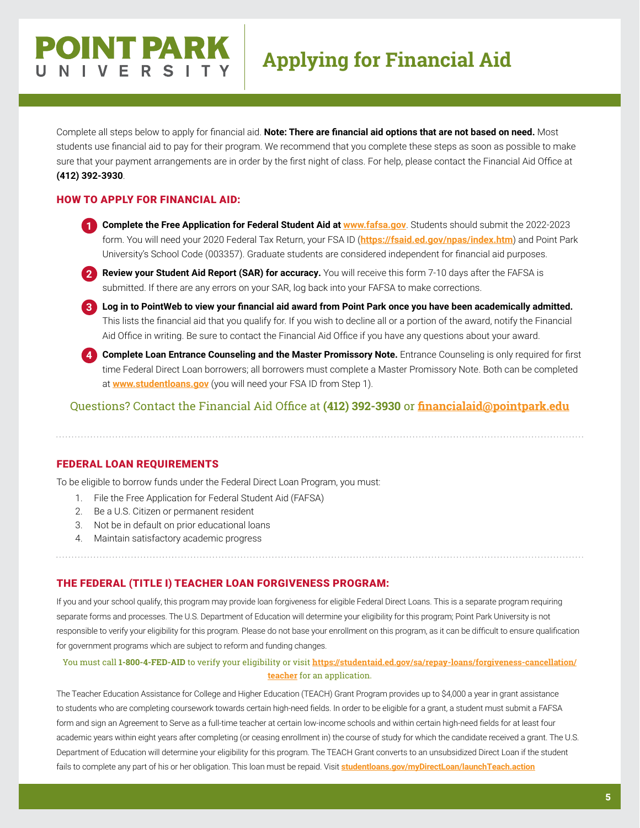# **Applying for Financial Aid**

Complete all steps below to apply for financial aid. **Note: There are financial aid options that are not based on need.** Most students use financial aid to pay for their program. We recommend that you complete these steps as soon as possible to make sure that your payment arrangements are in order by the first night of class. For help, please contact the Financial Aid Office at **(412) 392-3930**.

#### HOW TO APPLY FOR FINANCIAL AID:

**POINT PARK** 

IVERS

**1 Complete the Free Application for Federal Student Aid at <b>[www.fafsa.gov](http://www.fafsa.gov)**. Students should submit the 2022-2023 form. You will need your 2020 Federal Tax Return, your FSA ID (**<https://fsaid.ed.gov/npas/index.htm>**) and Point Park University's School Code (003357). Graduate students are considered independent for financial aid purposes.



**2** Review your Student Aid Report (SAR) for accuracy. You will receive this form 7-10 days after the FAFSA is submitted. If there are any errors on your SAR, log back into your FAFSA to make corrections.

**3 Log in to PointWeb to view your financial aid award from Point Park once you have been academically admitted.**  This lists the financial aid that you qualify for. If you wish to decline all or a portion of the award, notify the Financial Aid Office in writing. Be sure to contact the Financial Aid Office if you have any questions about your award.



**4 Complete Loan Entrance Counseling and the Master Promissory Note.** Entrance Counseling is only required for first time Federal Direct Loan borrowers; all borrowers must complete a Master Promissory Note. Both can be completed at **[www.studentloans.gov](http://www.studentloans.gov)** (you will need your FSA ID from Step 1).

Questions? Contact the Financial Aid Office at **(412) 392-3930** or **[financialaid@pointpark.edu](mailto:financialaid%40pointpark.edu?subject=)**

#### FEDERAL LOAN REQUIREMENTS

To be eligible to borrow funds under the Federal Direct Loan Program, you must:

- 1. File the Free Application for Federal Student Aid (FAFSA)
- 2. Be a U.S. Citizen or permanent resident
- 3. Not be in default on prior educational loans
- 4. Maintain satisfactory academic progress

#### THE FEDERAL (TITLE I) TEACHER LOAN FORGIVENESS PROGRAM:

If you and your school qualify, this program may provide loan forgiveness for eligible Federal Direct Loans. This is a separate program requiring separate forms and processes. The U.S. Department of Education will determine your eligibility for this program; Point Park University is not responsible to verify your eligibility for this program. Please do not base your enrollment on this program, as it can be difficult to ensure qualification for government programs which are subject to reform and funding changes.

#### You must call **1-800-4-FED-AID** to verify your eligibility or visit **[https://studentaid.ed.gov/sa/repay-loans/forgiveness-cancellation/](https://studentaid.ed.gov/sa/repay-loans/forgiveness-cancellation/teacher) [teacher](https://studentaid.ed.gov/sa/repay-loans/forgiveness-cancellation/teacher)** for an application.

The Teacher Education Assistance for College and Higher Education (TEACH) Grant Program provides up to \$4,000 a year in grant assistance to students who are completing coursework towards certain high-need fields. In order to be eligible for a grant, a student must submit a FAFSA form and sign an Agreement to Serve as a full-time teacher at certain low-income schools and within certain high-need fields for at least four academic years within eight years after completing (or ceasing enrollment in) the course of study for which the candidate received a grant. The U.S. Department of Education will determine your eligibility for this program. The TEACH Grant converts to an unsubsidized Direct Loan if the student fails to complete any part of his or her obligation. This loan must be repaid. Visit **[studentloans.gov/myDirectLoan/launchTeach.action](http://studentloans.gov/myDirectLoan/launchTeach.action)**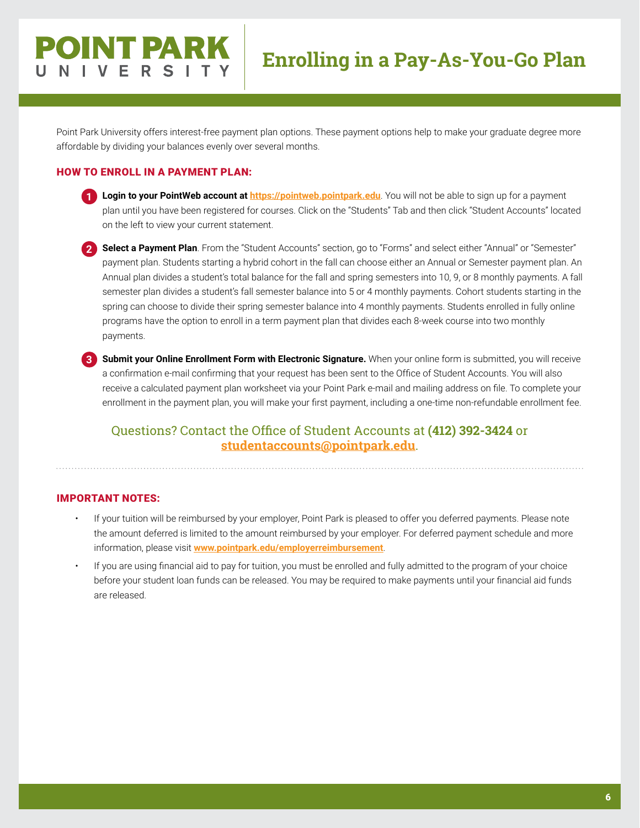# **Enrolling in a Pay-As-You-Go Plan**

Point Park University offers interest-free payment plan options. These payment options help to make your graduate degree more affordable by dividing your balances evenly over several months.

#### HOW TO ENROLL IN A PAYMENT PLAN:

**POINT PARK** 

VERS

- **1 Login to your PointWeb account at [https://pointweb.pointpark.edu](http://pointweb.pointpark.edu)**. You will not be able to sign up for a payment plan until you have been registered for courses. Click on the "Students" Tab and then click "Student Accounts" located on the left to view your current statement.
	- **2 Select a Payment Plan**. From the "Student Accounts" section, go to "Forms" and select either "Annual" or "Semester" payment plan. Students starting a hybrid cohort in the fall can choose either an Annual or Semester payment plan. An Annual plan divides a student's total balance for the fall and spring semesters into 10, 9, or 8 monthly payments. A fall semester plan divides a student's fall semester balance into 5 or 4 monthly payments. Cohort students starting in the spring can choose to divide their spring semester balance into 4 monthly payments. Students enrolled in fully online programs have the option to enroll in a term payment plan that divides each 8-week course into two monthly payments.
	- **3 Submit your Online Enrollment Form with Electronic Signature.** When your online form is submitted, you will receive a confirmation e-mail confirming that your request has been sent to the Office of Student Accounts. You will also receive a calculated payment plan worksheet via your Point Park e-mail and mailing address on file. To complete your enrollment in the payment plan, you will make your first payment, including a one-time non-refundable enrollment fee.

#### Questions? Contact the Office of Student Accounts at **(412) 392-3424** or **[studentaccounts@pointpark.edu](mailto:studentaccounts%40pointpark.edu?subject=)**.

#### IMPORTANT NOTES:

- If your tuition will be reimbursed by your employer, Point Park is pleased to offer you deferred payments. Please note the amount deferred is limited to the amount reimbursed by your employer. For deferred payment schedule and more information, please visit **[www.pointpark.edu/employerreimbursement](http://www.pointpark.edu/employerreimbursement)**.
- If you are using financial aid to pay for tuition, you must be enrolled and fully admitted to the program of your choice before your student loan funds can be released. You may be required to make payments until your financial aid funds are released.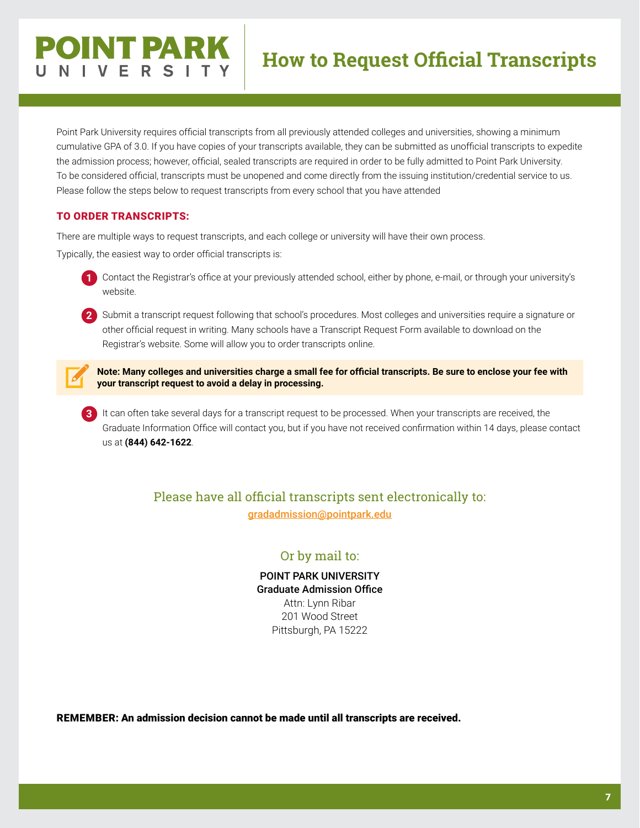# **POINT PARK VERS**

Point Park University requires official transcripts from all previously attended colleges and universities, showing a minimum cumulative GPA of 3.0. If you have copies of your transcripts available, they can be submitted as unofficial transcripts to expedite the admission process; however, official, sealed transcripts are required in order to be fully admitted to Point Park University. To be considered official, transcripts must be unopened and come directly from the issuing institution/credential service to us. Please follow the steps below to request transcripts from every school that you have attended

#### TO ORDER TRANSCRIPTS:

There are multiple ways to request transcripts, and each college or university will have their own process.

Typically, the easiest way to order official transcripts is:

**1** Contact the Registrar's office at your previously attended school, either by phone, e-mail, or through your university's website.

**2** Submit a transcript request following that school's procedures. Most colleges and universities require a signature or other official request in writing. Many schools have a Transcript Request Form available to download on the Registrar's website. Some will allow you to order transcripts online.

**Note: Many colleges and universities charge a small fee for official transcripts. Be sure to enclose your fee with your transcript request to avoid a delay in processing.**

**3** It can often take several days for a transcript request to be processed. When your transcripts are received, the Graduate Information Office will contact you, but if you have not received confirmation within 14 days, please contact us at **(844) 642-1622**.

#### Please have all official transcripts sent electronically to: [gradadmission@pointpark.edu](mailto:gradadmission%40pointpark.edu?subject=)

#### Or by mail to:

POINT PARK UNIVERSITY Graduate Admission Office Attn: Lynn Ribar 201 Wood Street Pittsburgh, PA 15222

REMEMBER: An admission decision cannot be made until all transcripts are received.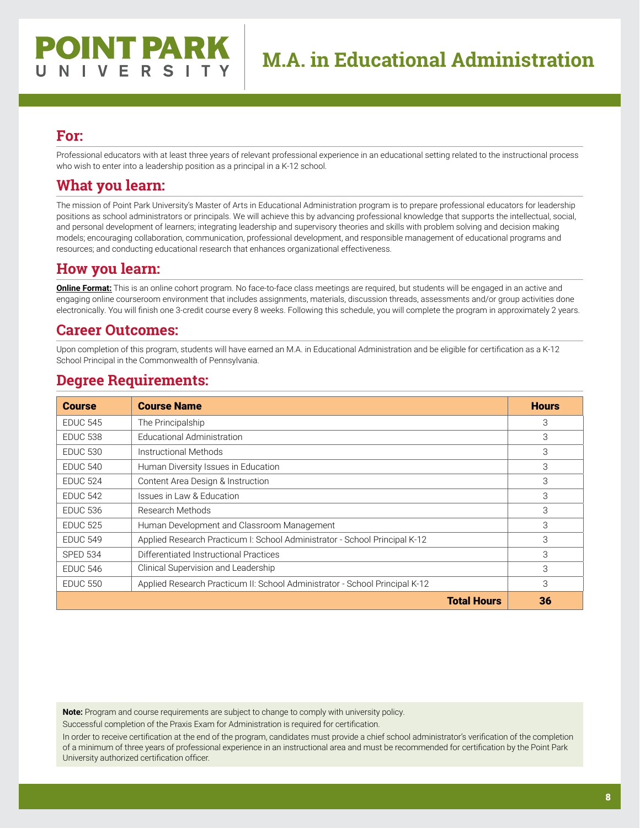Professional educators with at least three years of relevant professional experience in an educational setting related to the instructional process who wish to enter into a leadership position as a principal in a K-12 school.

## **What you learn:**

The mission of Point Park University's Master of Arts in Educational Administration program is to prepare professional educators for leadership positions as school administrators or principals. We will achieve this by advancing professional knowledge that supports the intellectual, social, and personal development of learners; integrating leadership and supervisory theories and skills with problem solving and decision making models; encouraging collaboration, communication, professional development, and responsible management of educational programs and resources; and conducting educational research that enhances organizational effectiveness.

#### **How you learn:**

**Online Format:** This is an online cohort program. No face-to-face class meetings are required, but students will be engaged in an active and engaging online courseroom environment that includes assignments, materials, discussion threads, assessments and/or group activities done electronically. You will finish one 3-credit course every 8 weeks. Following this schedule, you will complete the program in approximately 2 years.

#### **Career Outcomes:**

Upon completion of this program, students will have earned an M.A. in Educational Administration and be eligible for certification as a K-12 School Principal in the Commonwealth of Pennsylvania.

#### **Degree Requirements:**

| <b>Course</b>   | <b>Course Name</b>                                                          | <b>Hours</b> |
|-----------------|-----------------------------------------------------------------------------|--------------|
| <b>EDUC 545</b> | The Principalship                                                           | 3            |
| <b>EDUC 538</b> | Educational Administration                                                  | 3            |
| <b>EDUC 530</b> | Instructional Methods                                                       | 3            |
| <b>EDUC 540</b> | Human Diversity Issues in Education                                         | 3            |
| <b>EDUC 524</b> | Content Area Design & Instruction                                           | 3            |
| <b>EDUC 542</b> | Issues in Law & Education                                                   | 3            |
| <b>EDUC 536</b> | Research Methods                                                            | 3            |
| <b>EDUC 525</b> | Human Development and Classroom Management                                  | 3            |
| <b>EDUC 549</b> | Applied Research Practicum I: School Administrator - School Principal K-12  | 3            |
| <b>SPED 534</b> | Differentiated Instructional Practices                                      | 3            |
| <b>EDUC 546</b> | Clinical Supervision and Leadership                                         | 3            |
| <b>EDUC 550</b> | Applied Research Practicum II: School Administrator - School Principal K-12 | 3            |
|                 | <b>Total Hours</b>                                                          | 36           |

**Note:** Program and course requirements are subject to change to comply with university policy.

Successful completion of the Praxis Exam for Administration is required for certification.

In order to receive certification at the end of the program, candidates must provide a chief school administrator's verification of the completion of a minimum of three years of professional experience in an instructional area and must be recommended for certification by the Point Park University authorized certification officer.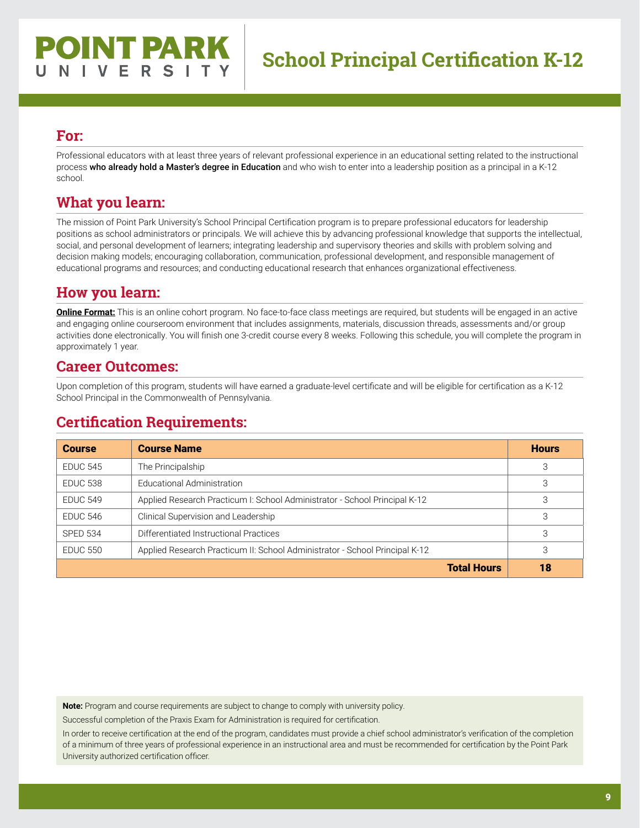Professional educators with at least three years of relevant professional experience in an educational setting related to the instructional process who already hold a Master's degree in Education and who wish to enter into a leadership position as a principal in a K-12 school.

## **What you learn:**

The mission of Point Park University's School Principal Certification program is to prepare professional educators for leadership positions as school administrators or principals. We will achieve this by advancing professional knowledge that supports the intellectual, social, and personal development of learners; integrating leadership and supervisory theories and skills with problem solving and decision making models; encouraging collaboration, communication, professional development, and responsible management of educational programs and resources; and conducting educational research that enhances organizational effectiveness.

## **How you learn:**

**Online Format:** This is an online cohort program. No face-to-face class meetings are required, but students will be engaged in an active and engaging online courseroom environment that includes assignments, materials, discussion threads, assessments and/or group activities done electronically. You will finish one 3-credit course every 8 weeks. Following this schedule, you will complete the program in approximately 1 year.

#### **Career Outcomes:**

Upon completion of this program, students will have earned a graduate-level certificate and will be eligible for certification as a K-12 School Principal in the Commonwealth of Pennsylvania.

## **Certification Requirements:**

| <b>Course</b>   | <b>Course Name</b>                                                          | <b>Hours</b> |
|-----------------|-----------------------------------------------------------------------------|--------------|
| <b>EDUC 545</b> | The Principalship                                                           | 3            |
| <b>EDUC 538</b> | Educational Administration                                                  | 3            |
| <b>EDUC 549</b> | Applied Research Practicum I: School Administrator - School Principal K-12  | 3            |
| <b>EDUC 546</b> | Clinical Supervision and Leadership                                         | 3            |
| <b>SPED 534</b> | Differentiated Instructional Practices                                      | 3            |
| <b>EDUC 550</b> | Applied Research Practicum II: School Administrator - School Principal K-12 | 3            |
|                 | <b>Total Hours</b>                                                          | 18           |

**Note:** Program and course requirements are subject to change to comply with university policy.

Successful completion of the Praxis Exam for Administration is required for certification.

In order to receive certification at the end of the program, candidates must provide a chief school administrator's verification of the completion of a minimum of three years of professional experience in an instructional area and must be recommended for certification by the Point Park University authorized certification officer.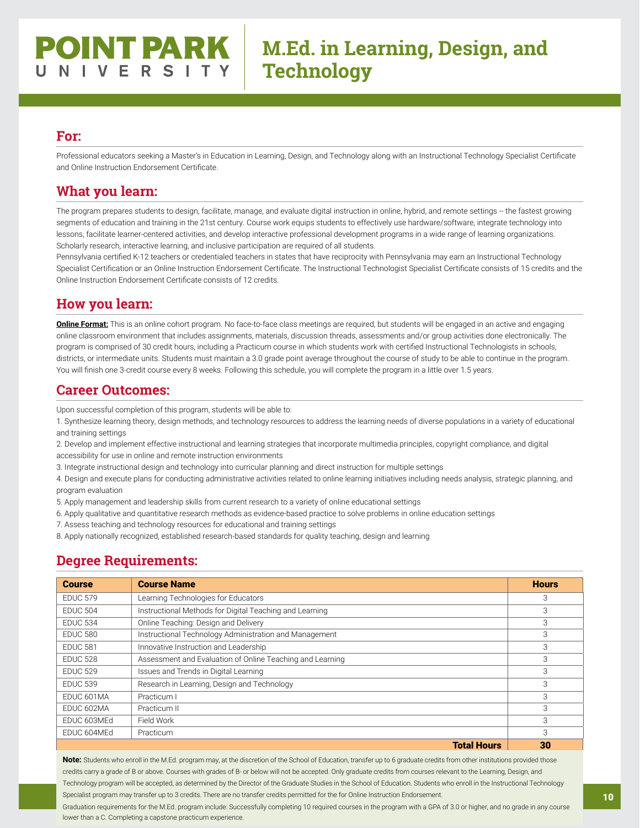# **POINT PARK** NIVERSITY

# **M.Ed. in Learning, Design, and Technology**

#### **For:**

Professional educators seeking a Master's in Education in Learning, Design, and Technology along with an Instructional Technology Specialist Certificate and Online Instruction Endorsement Certificate.

#### **What you learn:**

The program prepares students to design, facilitate, manage, and evaluate digital instruction in online, hybrid, and remote settings -- the fastest growing segments of education and training in the 21st century. Course work equips students to effectively use hardware/software, integrate technology into lessons, facilitate learner-centered activities, and develop interactive professional development programs in a wide range of learning organizations. Scholarly research, interactive learning, and inclusive participation are required of all students.

Pennsylvania certified K-12 teachers or credentialed teachers in states that have reciprocity with Pennsylvania may earn an Instructional Technology Specialist Certification or an Online Instruction Endorsement Certificate. The Instructional Technologist Specialist Certificate consists of 15 credits and the Online Instruction Endorsement Certificate consists of 12 credits.

#### **How you learn:**

**Online Format:** This is an online cohort program. No face-to-face class meetings are required, but students will be engaged in an active and engaging online classroom environment that includes assignments, materials, discussion threads, assessments and/or group activities done electronically. The program is comprised of 30 credit hours, including a Practicum course in which students work with certified Instructional Technologists in schools, districts, or intermediate units. Students must maintain a 3.0 grade point average throughout the course of study to be able to continue in the program. You will finish one 3-credit course every 8 weeks. Following this schedule, you will complete the program in a little over 1.5 years.

#### **Career Outcomes:**

Upon successful completion of this program, students will be able to:

1. Synthesize learning theory, design methods, and technology resources to address the learning needs of diverse populations in a variety of educational and training settings

2. Develop and implement effective instructional and learning strategies that incorporate multimedia principles, copyright compliance, and digital accessibility for use in online and remote instruction environments

3. Integrate instructional design and technology into curricular planning and direct instruction for multiple settings

4. Design and execute plans for conducting administrative activities related to online learning initiatives including needs analysis, strategic planning, and program evaluation

5. Apply management and leadership skills from current research to a variety of online educational settings

6. Apply qualitative and quantitative research methods as evidence-based practice to solve problems in online education settings

7. Assess teaching and technology resources for educational and training settings

8. Apply nationally recognized, established research-based standards for quality teaching, design and learning

#### **Degree Requirements:**

| <b>Course</b>   | <b>Course Name</b>                                        | <b>Hours</b> |
|-----------------|-----------------------------------------------------------|--------------|
| <b>EDUC 579</b> | Learning Technologies for Educators                       | 3            |
| <b>EDUC 504</b> | Instructional Methods for Digital Teaching and Learning   | 3            |
| <b>FDUC 534</b> | Online Teaching: Design and Delivery                      | 3            |
| <b>EDUC 580</b> | Instructional Technology Administration and Management    | 3            |
| <b>EDUC 581</b> | Innovative Instruction and Leadership                     | 3            |
| <b>EDUC 528</b> | Assessment and Evaluation of Online Teaching and Learning | 3            |
| <b>FDUC 529</b> | Issues and Trends in Digital Learning                     | 3            |
| <b>EDUC 539</b> | Research in Learning, Design and Technology               | 3            |
| EDUC 601MA      | Practicum I                                               | 3            |
| EDUC 602MA      | Practicum II                                              | 3            |
| EDUC 603MEd     | Field Work                                                | 3            |
| EDUC 604MEd     | Practicum                                                 | 3            |
|                 | <b>Total Hours</b>                                        | 30           |

**Note:** Students who enroll in the M.Ed. program may, at the discretion of the School of Education, transfer up to 6 graduate credits from other institutions provided those credits carry a grade of B or above. Courses with grades of B- or below will not be accepted. Only graduate credits from courses relevant to the Learning, Design, and Technology program will be accepted, as determined by the Director of the Graduate Studies in the School of Education. Students who enroll in the Instructional Technology Specialist program may transfer up to 3 credits. There are no transfer credits permitted for the for Online Instruction Endorsement. Graduation requirements for the M.Ed. program include: Successfully completing 10 required courses in the program with a GPA of 3.0 or higher, and no grade in any course

lower than a C. Completing a capstone practicum experience.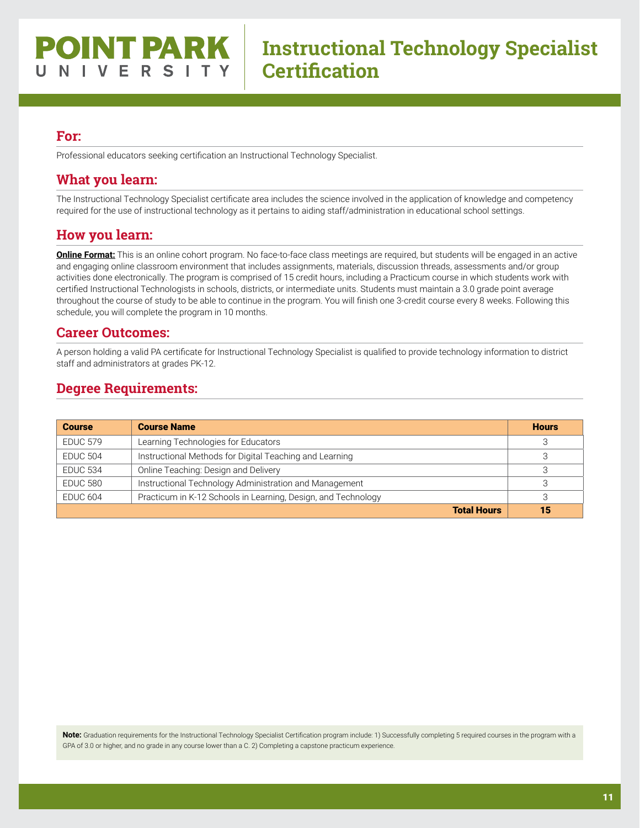Professional educators seeking certification an Instructional Technology Specialist.

#### **What you learn:**

The Instructional Technology Specialist certificate area includes the science involved in the application of knowledge and competency required for the use of instructional technology as it pertains to aiding staff/administration in educational school settings.

#### **How you learn:**

**Online Format:** This is an online cohort program. No face-to-face class meetings are required, but students will be engaged in an active and engaging online classroom environment that includes assignments, materials, discussion threads, assessments and/or group activities done electronically. The program is comprised of 15 credit hours, including a Practicum course in which students work with certified Instructional Technologists in schools, districts, or intermediate units. Students must maintain a 3.0 grade point average throughout the course of study to be able to continue in the program. You will finish one 3-credit course every 8 weeks. Following this schedule, you will complete the program in 10 months.

#### **Career Outcomes:**

A person holding a valid PA certificate for Instructional Technology Specialist is qualified to provide technology information to district staff and administrators at grades PK-12.

#### **Degree Requirements:**

| <b>Course</b>       | <b>Course Name</b>                                            | <b>Hours</b> |
|---------------------|---------------------------------------------------------------|--------------|
| <b>EDUC 579</b>     | Learning Technologies for Educators                           | З            |
| <b>EDUC 504</b>     | Instructional Methods for Digital Teaching and Learning       |              |
| <b>EDUC 534</b>     | Online Teaching: Design and Delivery                          |              |
| EDUC 580            | Instructional Technology Administration and Management        |              |
| EDUC <sub>604</sub> | Practicum in K-12 Schools in Learning, Design, and Technology |              |
|                     | <b>Total Hours</b>                                            | 15           |

**Note:** Graduation requirements for the Instructional Technology Specialist Certification program include: 1) Successfully completing 5 required courses in the program with a GPA of 3.0 or higher, and no grade in any course lower than a C. 2) Completing a capstone practicum experience.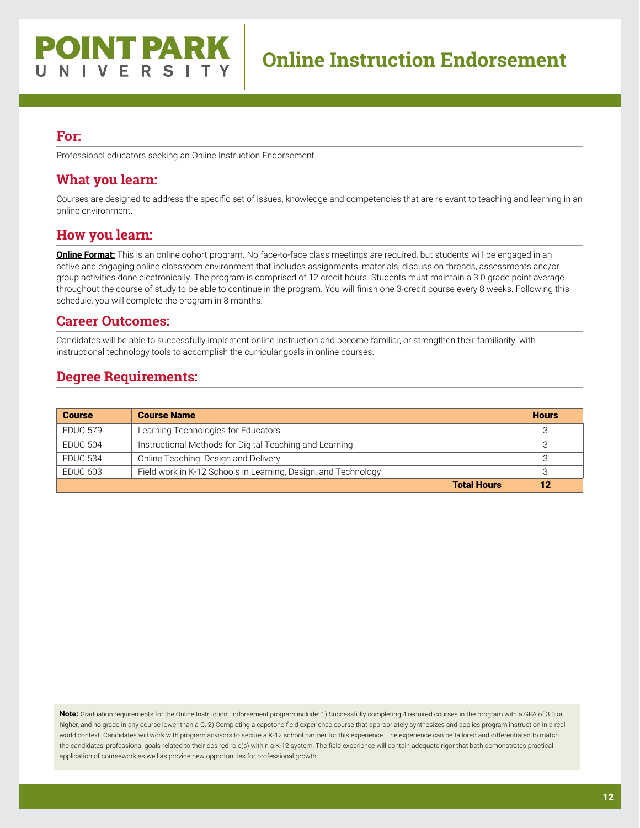Professional educators seeking an Online Instruction Endorsement.

#### **What you learn:**

Courses are designed to address the specific set of issues, knowledge and competencies that are relevant to teaching and learning in an online environment.

#### **How you learn:**

**Online Format:** This is an online cohort program. No face-to-face class meetings are required, but students will be engaged in an active and engaging online classroom environment that includes assignments, materials, discussion threads, assessments and/or group activities done electronically. The program is comprised of 12 credit hours. Students must maintain a 3.0 grade point average throughout the course of study to be able to continue in the program. You will finish one 3-credit course every 8 weeks. Following this schedule, you will complete the program in 8 months.

#### **Career Outcomes:**

Candidates will be able to successfully implement online instruction and become familiar, or strengthen their familiarity, with instructional technology tools to accomplish the curricular goals in online courses.

#### **Degree Requirements:**

| <b>Course</b>   | <b>Course Name</b>                                             | <b>Hours</b> |
|-----------------|----------------------------------------------------------------|--------------|
| <b>EDUC 579</b> | Learning Technologies for Educators                            |              |
| EDUC 504        | Instructional Methods for Digital Teaching and Learning        |              |
| <b>EDUC 534</b> | Online Teaching: Design and Delivery                           |              |
| EDUC 603        | Field work in K-12 Schools in Learning, Design, and Technology |              |
|                 | <b>Total Hours</b>                                             | 12           |

**Note:** Graduation requirements for the Online Instruction Endorsement program include: 1) Successfully completing 4 required courses in the program with a GPA of 3.0 or higher, and no grade in any course lower than a C. 2) Completing a capstone field experience course that appropriately synthesizes and applies program instruction in a real world context. Candidates will work with program advisors to secure a K-12 school partner for this experience. The experience can be tailored and differentiated to match the candidates' professional goals related to their desired role(s) within a K-12 system. The field experience will contain adequate rigor that both demonstrates practical application of coursework as well as provide new opportunities for professional growth.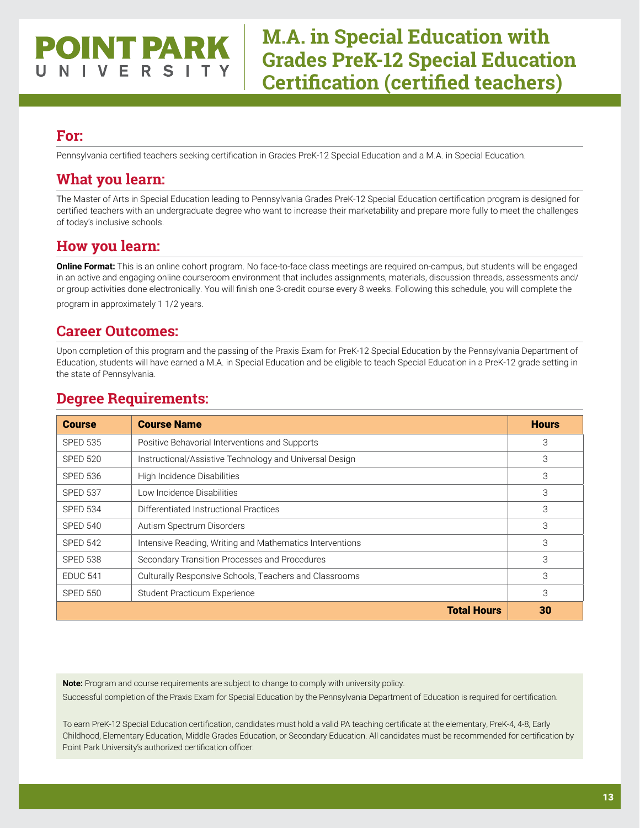## OINT PARK V E R S

**M.A. in Special Education with Grades PreK-12 Special Education Certification (certified teachers)**

#### **For:**

Pennsylvania certified teachers seeking certification in Grades PreK-12 Special Education and a M.A. in Special Education.

#### **What you learn:**

The Master of Arts in Special Education leading to Pennsylvania Grades PreK-12 Special Education certification program is designed for certified teachers with an undergraduate degree who want to increase their marketability and prepare more fully to meet the challenges of today's inclusive schools.

#### **How you learn:**

**Online Format:** This is an online cohort program. No face-to-face class meetings are required on-campus, but students will be engaged in an active and engaging online courseroom environment that includes assignments, materials, discussion threads, assessments and/ or group activities done electronically. You will finish one 3-credit course every 8 weeks. Following this schedule, you will complete the program in approximately 1 1/2 years.

#### **Career Outcomes:**

Upon completion of this program and the passing of the Praxis Exam for PreK-12 Special Education by the Pennsylvania Department of Education, students will have earned a M.A. in Special Education and be eligible to teach Special Education in a PreK-12 grade setting in the state of Pennsylvania.

| <b>Course</b>   | <b>Course Name</b>                                       | <b>Hours</b> |
|-----------------|----------------------------------------------------------|--------------|
| <b>SPED 535</b> | Positive Behavorial Interventions and Supports           | 3            |
| <b>SPED 520</b> | Instructional/Assistive Technology and Universal Design  | 3            |
| <b>SPED 536</b> | High Incidence Disabilities                              | 3            |
| <b>SPED 537</b> | Low Incidence Disabilities                               | 3            |
| <b>SPED 534</b> | Differentiated Instructional Practices                   | 3            |
| <b>SPED 540</b> | Autism Spectrum Disorders                                | 3            |
| <b>SPED 542</b> | Intensive Reading, Writing and Mathematics Interventions | 3            |
| <b>SPED 538</b> | Secondary Transition Processes and Procedures            | 3            |
| <b>EDUC 541</b> | Culturally Responsive Schools, Teachers and Classrooms   | 3            |
| <b>SPED 550</b> | Student Practicum Experience                             | 3            |
|                 | <b>Total Hours</b>                                       | 30           |

#### **Degree Requirements:**

**Note:** Program and course requirements are subject to change to comply with university policy.

Successful completion of the Praxis Exam for Special Education by the Pennsylvania Department of Education is required for certification.

To earn PreK-12 Special Education certification, candidates must hold a valid PA teaching certificate at the elementary, PreK-4, 4-8, Early Childhood, Elementary Education, Middle Grades Education, or Secondary Education. All candidates must be recommended for certification by Point Park University's authorized certification officer.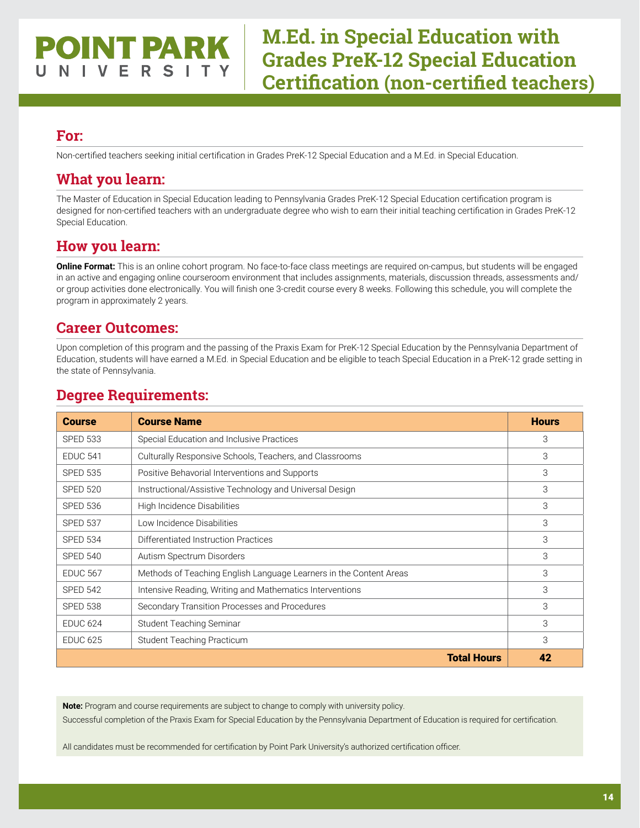# **POINT PARK** V E R S

# **M.Ed. in Special Education with Grades PreK-12 Special Education Certification (non-certified teachers)**

#### **For:**

Non-certified teachers seeking initial certification in Grades PreK-12 Special Education and a M.Ed. in Special Education.

## **What you learn:**

The Master of Education in Special Education leading to Pennsylvania Grades PreK-12 Special Education certification program is designed for non-certified teachers with an undergraduate degree who wish to earn their initial teaching certification in Grades PreK-12 Special Education.

## **How you learn:**

**Online Format:** This is an online cohort program. No face-to-face class meetings are required on-campus, but students will be engaged in an active and engaging online courseroom environment that includes assignments, materials, discussion threads, assessments and/ or group activities done electronically. You will finish one 3-credit course every 8 weeks. Following this schedule, you will complete the program in approximately 2 years.

## **Career Outcomes:**

Upon completion of this program and the passing of the Praxis Exam for PreK-12 Special Education by the Pennsylvania Department of Education, students will have earned a M.Ed. in Special Education and be eligible to teach Special Education in a PreK-12 grade setting in the state of Pennsylvania.

| <b>Course</b>   | <b>Course Name</b>                                                 | <b>Hours</b> |
|-----------------|--------------------------------------------------------------------|--------------|
| <b>SPED 533</b> | Special Education and Inclusive Practices                          | 3            |
| <b>EDUC 541</b> | Culturally Responsive Schools, Teachers, and Classrooms            | 3            |
| <b>SPED 535</b> | Positive Behavorial Interventions and Supports                     | 3            |
| <b>SPED 520</b> | Instructional/Assistive Technology and Universal Design            | 3            |
| <b>SPED 536</b> | High Incidence Disabilities                                        | 3            |
| <b>SPED 537</b> | Low Incidence Disabilities                                         | 3            |
| <b>SPED 534</b> | Differentiated Instruction Practices                               | 3            |
| <b>SPED 540</b> | Autism Spectrum Disorders                                          | 3            |
| <b>EDUC 567</b> | Methods of Teaching English Language Learners in the Content Areas | 3            |
| <b>SPED 542</b> | Intensive Reading, Writing and Mathematics Interventions           | 3            |
| <b>SPED 538</b> | Secondary Transition Processes and Procedures                      | 3            |
| <b>EDUC 624</b> | Student Teaching Seminar                                           | 3            |
| <b>EDUC 625</b> | Student Teaching Practicum                                         | 3            |
|                 | <b>Total Hours</b>                                                 | 42           |

## **Degree Requirements:**

**Note:** Program and course requirements are subject to change to comply with university policy. Successful completion of the Praxis Exam for Special Education by the Pennsylvania Department of Education is required for certification.

All candidates must be recommended for certification by Point Park University's authorized certification officer.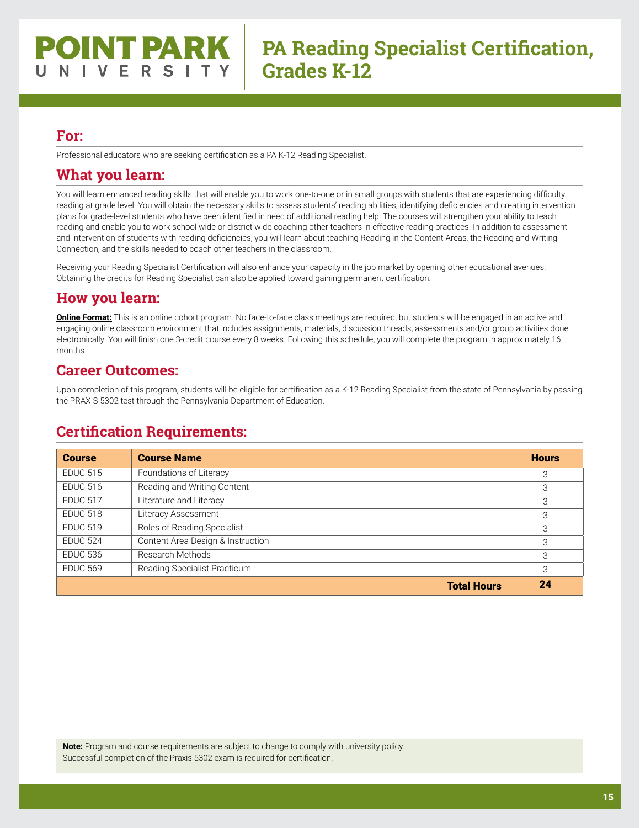Professional educators who are seeking certification as a PA K-12 Reading Specialist.

#### **What you learn:**

You will learn enhanced reading skills that will enable you to work one-to-one or in small groups with students that are experiencing difficulty reading at grade level. You will obtain the necessary skills to assess students' reading abilities, identifying deficiencies and creating intervention plans for grade-level students who have been identified in need of additional reading help. The courses will strengthen your ability to teach reading and enable you to work school wide or district wide coaching other teachers in effective reading practices. In addition to assessment and intervention of students with reading deficiencies, you will learn about teaching Reading in the Content Areas, the Reading and Writing Connection, and the skills needed to coach other teachers in the classroom.

Receiving your Reading Specialist Certification will also enhance your capacity in the job market by opening other educational avenues. Obtaining the credits for Reading Specialist can also be applied toward gaining permanent certification.

## **How you learn:**

**Online Format:** This is an online cohort program. No face-to-face class meetings are required, but students will be engaged in an active and engaging online classroom environment that includes assignments, materials, discussion threads, assessments and/or group activities done electronically. You will finish one 3-credit course every 8 weeks. Following this schedule, you will complete the program in approximately 16 months.

#### **Career Outcomes:**

Upon completion of this program, students will be eligible for certification as a K-12 Reading Specialist from the state of Pennsylvania by passing the PRAXIS 5302 test through the Pennsylvania Department of Education.

## **Certification Requirements:**

| <b>Course</b>   | <b>Course Name</b>                | <b>Hours</b> |
|-----------------|-----------------------------------|--------------|
| <b>EDUC 515</b> | Foundations of Literacy           | 3            |
| <b>EDUC 516</b> | Reading and Writing Content       | 3            |
| <b>EDUC 517</b> | Literature and Literacy           | 3            |
| <b>EDUC 518</b> | Literacy Assessment               | 3            |
| <b>EDUC 519</b> | Roles of Reading Specialist       | 3            |
| <b>EDUC 524</b> | Content Area Design & Instruction | 3            |
| <b>EDUC 536</b> | Research Methods                  | 3            |
| <b>EDUC 569</b> | Reading Specialist Practicum      | 3            |
|                 | <b>Total Hours</b>                | 24           |

**Note:** Program and course requirements are subject to change to comply with university policy. Successful completion of the Praxis 5302 exam is required for certification.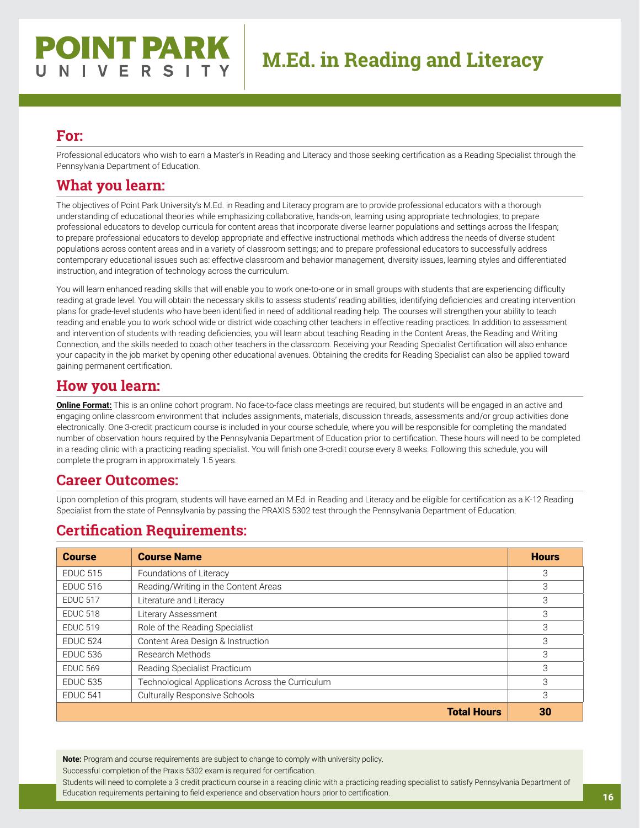# **POINT PARK** NIVERSITY

#### **For:**

Professional educators who wish to earn a Master's in Reading and Literacy and those seeking certification as a Reading Specialist through the Pennsylvania Department of Education.

#### **What you learn:**

The objectives of Point Park University's M.Ed. in Reading and Literacy program are to provide professional educators with a thorough understanding of educational theories while emphasizing collaborative, hands-on, learning using appropriate technologies; to prepare professional educators to develop curricula for content areas that incorporate diverse learner populations and settings across the lifespan; to prepare professional educators to develop appropriate and effective instructional methods which address the needs of diverse student populations across content areas and in a variety of classroom settings; and to prepare professional educators to successfully address contemporary educational issues such as: effective classroom and behavior management, diversity issues, learning styles and differentiated instruction, and integration of technology across the curriculum.

You will learn enhanced reading skills that will enable you to work one-to-one or in small groups with students that are experiencing difficulty reading at grade level. You will obtain the necessary skills to assess students' reading abilities, identifying deficiencies and creating intervention plans for grade-level students who have been identified in need of additional reading help. The courses will strengthen your ability to teach reading and enable you to work school wide or district wide coaching other teachers in effective reading practices. In addition to assessment and intervention of students with reading deficiencies, you will learn about teaching Reading in the Content Areas, the Reading and Writing Connection, and the skills needed to coach other teachers in the classroom. Receiving your Reading Specialist Certification will also enhance your capacity in the job market by opening other educational avenues. Obtaining the credits for Reading Specialist can also be applied toward gaining permanent certification.

#### **How you learn:**

**Online Format:** This is an online cohort program. No face-to-face class meetings are required, but students will be engaged in an active and engaging online classroom environment that includes assignments, materials, discussion threads, assessments and/or group activities done electronically. One 3-credit practicum course is included in your course schedule, where you will be responsible for completing the mandated number of observation hours required by the Pennsylvania Department of Education prior to certification. These hours will need to be completed in a reading clinic with a practicing reading specialist. You will finish one 3-credit course every 8 weeks. Following this schedule, you will complete the program in approximately 1.5 years.

#### **Career Outcomes:**

Upon completion of this program, students will have earned an M.Ed. in Reading and Literacy and be eligible for certification as a K-12 Reading Specialist from the state of Pennsylvania by passing the PRAXIS 5302 test through the Pennsylvania Department of Education.

#### **Certification Requirements:**

| <b>Course</b>   | <b>Course Name</b>                               | <b>Hours</b> |
|-----------------|--------------------------------------------------|--------------|
| <b>EDUC 515</b> | Foundations of Literacy                          | 3            |
| <b>EDUC 516</b> | Reading/Writing in the Content Areas             | 3            |
| <b>EDUC 517</b> | Literature and Literacy                          | 3            |
| <b>EDUC 518</b> | Literary Assessment                              | 3            |
| <b>EDUC 519</b> | Role of the Reading Specialist                   | 3            |
| <b>EDUC 524</b> | Content Area Design & Instruction                | 3            |
| <b>EDUC 536</b> | Research Methods                                 | 3            |
| <b>EDUC 569</b> | Reading Specialist Practicum                     | 3            |
| <b>EDUC 535</b> | Technological Applications Across the Curriculum | 3            |
| <b>EDUC 541</b> | <b>Culturally Responsive Schools</b>             | 3            |
|                 | <b>Total Hours</b>                               | 30           |

**Note:** Program and course requirements are subject to change to comply with university policy.

Successful completion of the Praxis 5302 exam is required for certification.

Students will need to complete a 3 credit practicum course in a reading clinic with a practicing reading specialist to satisfy Pennsylvania Department of Education requirements pertaining to field experience and observation hours prior to certification.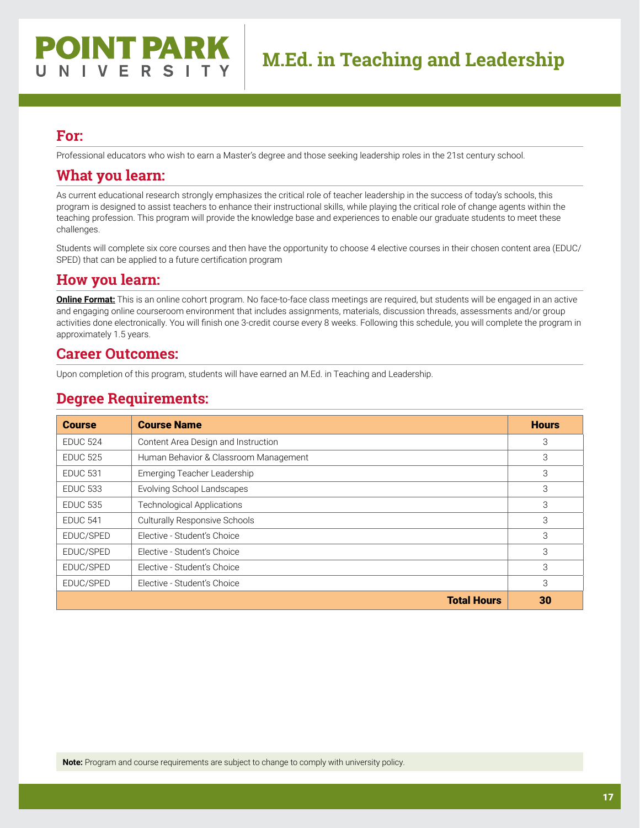Professional educators who wish to earn a Master's degree and those seeking leadership roles in the 21st century school.

#### **What you learn:**

As current educational research strongly emphasizes the critical role of teacher leadership in the success of today's schools, this program is designed to assist teachers to enhance their instructional skills, while playing the critical role of change agents within the teaching profession. This program will provide the knowledge base and experiences to enable our graduate students to meet these challenges.

Students will complete six core courses and then have the opportunity to choose 4 elective courses in their chosen content area (EDUC/ SPED) that can be applied to a future certification program

#### **How you learn:**

**Online Format:** This is an online cohort program. No face-to-face class meetings are required, but students will be engaged in an active and engaging online courseroom environment that includes assignments, materials, discussion threads, assessments and/or group activities done electronically. You will finish one 3-credit course every 8 weeks. Following this schedule, you will complete the program in approximately 1.5 years.

#### **Career Outcomes:**

Upon completion of this program, students will have earned an M.Ed. in Teaching and Leadership.

#### **Degree Requirements:**

| <b>Course</b>   | <b>Course Name</b>                    | <b>Hours</b> |
|-----------------|---------------------------------------|--------------|
| <b>EDUC 524</b> | Content Area Design and Instruction   | 3            |
| <b>EDUC 525</b> | Human Behavior & Classroom Management | 3            |
| <b>EDUC 531</b> | Emerging Teacher Leadership           | 3            |
| <b>EDUC 533</b> | Evolving School Landscapes            | 3            |
| <b>EDUC 535</b> | <b>Technological Applications</b>     | 3            |
| <b>EDUC 541</b> | <b>Culturally Responsive Schools</b>  | 3            |
| EDUC/SPED       | Elective - Student's Choice           | 3            |
| EDUC/SPED       | Elective - Student's Choice           | 3            |
| EDUC/SPED       | Elective - Student's Choice           | 3            |
| EDUC/SPED       | Elective - Student's Choice           | 3            |
|                 | <b>Total Hours</b>                    | 30           |

**Note:** Program and course requirements are subject to change to comply with university policy.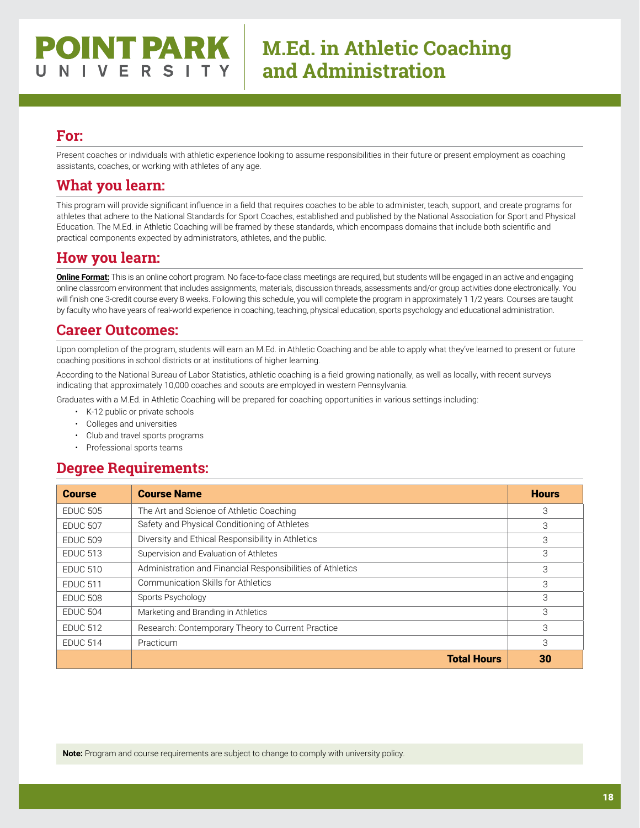Present coaches or individuals with athletic experience looking to assume responsibilities in their future or present employment as coaching assistants, coaches, or working with athletes of any age.

### **What you learn:**

This program will provide significant influence in a field that requires coaches to be able to administer, teach, support, and create programs for athletes that adhere to the National Standards for Sport Coaches, established and published by the National Association for Sport and Physical Education. The M.Ed. in Athletic Coaching will be framed by these standards, which encompass domains that include both scientific and practical components expected by administrators, athletes, and the public.

#### **How you learn:**

**Online Format:** This is an online cohort program. No face-to-face class meetings are required, but students will be engaged in an active and engaging online classroom environment that includes assignments, materials, discussion threads, assessments and/or group activities done electronically. You will finish one 3-credit course every 8 weeks. Following this schedule, you will complete the program in approximately 1 1/2 years. Courses are taught by faculty who have years of real-world experience in coaching, teaching, physical education, sports psychology and educational administration.

#### **Career Outcomes:**

Upon completion of the program, students will earn an M.Ed. in Athletic Coaching and be able to apply what they've learned to present or future coaching positions in school districts or at institutions of higher learning.

According to the National Bureau of Labor Statistics, athletic coaching is a field growing nationally, as well as locally, with recent surveys indicating that approximately 10,000 coaches and scouts are employed in western Pennsylvania.

Graduates with a M.Ed. in Athletic Coaching will be prepared for coaching opportunities in various settings including:

- K-12 public or private schools
- Colleges and universities
- Club and travel sports programs
- Professional sports teams

#### **Degree Requirements:**

| <b>Course</b>   | <b>Course Name</b>                                         | <b>Hours</b> |
|-----------------|------------------------------------------------------------|--------------|
| <b>EDUC 505</b> | The Art and Science of Athletic Coaching                   | 3            |
| <b>EDUC 507</b> | Safety and Physical Conditioning of Athletes               | 3            |
| <b>EDUC 509</b> | Diversity and Ethical Responsibility in Athletics          | 3            |
| <b>EDUC 513</b> | Supervision and Evaluation of Athletes                     | 3            |
| <b>EDUC 510</b> | Administration and Financial Responsibilities of Athletics | 3            |
| <b>EDUC 511</b> | Communication Skills for Athletics                         | 3            |
| <b>EDUC 508</b> | Sports Psychology                                          | 3            |
| <b>EDUC 504</b> | Marketing and Branding in Athletics                        | 3            |
| <b>EDUC 512</b> | Research: Contemporary Theory to Current Practice          | 3            |
| <b>EDUC 514</b> | Practicum                                                  | 3            |
|                 | <b>Total Hours</b>                                         | 30           |

**Note:** Program and course requirements are subject to change to comply with university policy.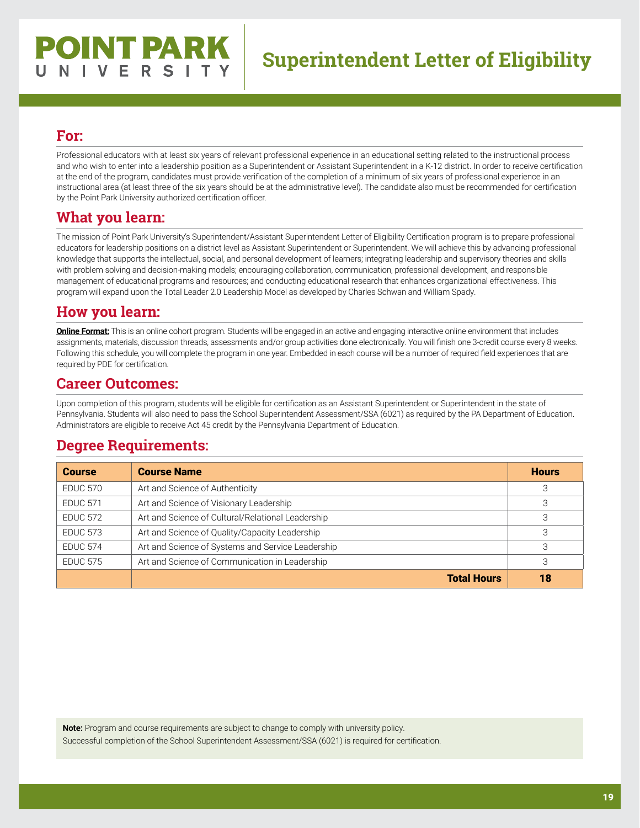# **POINT PARK** NIVERSITY

# **Superintendent Letter of Eligibility**

#### **For:**

Professional educators with at least six years of relevant professional experience in an educational setting related to the instructional process and who wish to enter into a leadership position as a Superintendent or Assistant Superintendent in a K-12 district. In order to receive certification at the end of the program, candidates must provide verification of the completion of a minimum of six years of professional experience in an instructional area (at least three of the six years should be at the administrative level). The candidate also must be recommended for certification by the Point Park University authorized certification officer.

## **What you learn:**

The mission of Point Park University's Superintendent/Assistant Superintendent Letter of Eligibility Certification program is to prepare professional educators for leadership positions on a district level as Assistant Superintendent or Superintendent. We will achieve this by advancing professional knowledge that supports the intellectual, social, and personal development of learners; integrating leadership and supervisory theories and skills with problem solving and decision-making models; encouraging collaboration, communication, professional development, and responsible management of educational programs and resources; and conducting educational research that enhances organizational effectiveness. This program will expand upon the Total Leader 2.0 Leadership Model as developed by Charles Schwan and William Spady.

## **How you learn:**

**Online Format:** This is an online cohort program. Students will be engaged in an active and engaging interactive online environment that includes assignments, materials, discussion threads, assessments and/or group activities done electronically. You will finish one 3-credit course every 8 weeks. Following this schedule, you will complete the program in one year. Embedded in each course will be a number of required field experiences that are required by PDE for certification.

#### **Career Outcomes:**

Upon completion of this program, students will be eligible for certification as an Assistant Superintendent or Superintendent in the state of Pennsylvania. Students will also need to pass the School Superintendent Assessment/SSA (6021) as required by the PA Department of Education. Administrators are eligible to receive Act 45 credit by the Pennsylvania Department of Education.

#### **Degree Requirements:**

| <b>Course</b>   | <b>Course Name</b>                                | <b>Hours</b> |
|-----------------|---------------------------------------------------|--------------|
| <b>EDUC 570</b> | Art and Science of Authenticity                   | 3            |
| <b>EDUC 571</b> | Art and Science of Visionary Leadership           | 3            |
| <b>EDUC 572</b> | Art and Science of Cultural/Relational Leadership |              |
| <b>EDUC 573</b> | Art and Science of Quality/Capacity Leadership    | З            |
| <b>EDUC 574</b> | Art and Science of Systems and Service Leadership | 3            |
| <b>EDUC 575</b> | Art and Science of Communication in Leadership    | 3            |
|                 | <b>Total Hours</b>                                | 18           |

**Note:** Program and course requirements are subject to change to comply with university policy.

Successful completion of the School Superintendent Assessment/SSA (6021) is required for certification.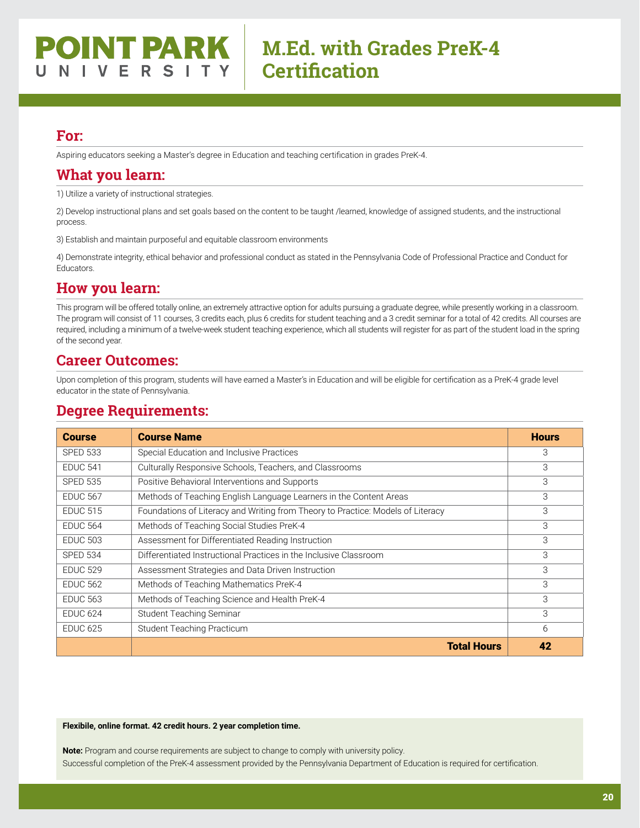#### **POINT PARK** V E R S I

# **M.Ed. with Grades PreK-4 Certification**

#### **For:**

Aspiring educators seeking a Master's degree in Education and teaching certification in grades PreK-4.

#### **What you learn:**

1) Utilize a variety of instructional strategies.

2) Develop instructional plans and set goals based on the content to be taught /learned, knowledge of assigned students, and the instructional process.

3) Establish and maintain purposeful and equitable classroom environments

4) Demonstrate integrity, ethical behavior and professional conduct as stated in the Pennsylvania Code of Professional Practice and Conduct for Educators.

## **How you learn:**

This program will be offered totally online, an extremely attractive option for adults pursuing a graduate degree, while presently working in a classroom. The program will consist of 11 courses, 3 credits each, plus 6 credits for student teaching and a 3 credit seminar for a total of 42 credits. All courses are required, including a minimum of a twelve-week student teaching experience, which all students will register for as part of the student load in the spring of the second year.

#### **Career Outcomes:**

Upon completion of this program, students will have earned a Master's in Education and will be eligible for certification as a PreK-4 grade level educator in the state of Pennsylvania.

#### **Degree Requirements:**

| <b>Course</b>   | <b>Course Name</b>                                                              | <b>Hours</b> |
|-----------------|---------------------------------------------------------------------------------|--------------|
| <b>SPED 533</b> | Special Education and Inclusive Practices                                       | 3            |
| <b>EDUC 541</b> | Culturally Responsive Schools, Teachers, and Classrooms                         | 3            |
| <b>SPED 535</b> | Positive Behavioral Interventions and Supports                                  | 3            |
| <b>EDUC 567</b> | Methods of Teaching English Language Learners in the Content Areas              | 3            |
| <b>EDUC 515</b> | Foundations of Literacy and Writing from Theory to Practice: Models of Literacy | 3            |
| <b>EDUC 564</b> | Methods of Teaching Social Studies PreK-4                                       | 3            |
| <b>EDUC 503</b> | Assessment for Differentiated Reading Instruction                               | 3            |
| <b>SPED 534</b> | Differentiated Instructional Practices in the Inclusive Classroom               | 3            |
| <b>EDUC 529</b> | Assessment Strategies and Data Driven Instruction                               | 3            |
| <b>EDUC 562</b> | Methods of Teaching Mathematics PreK-4                                          | 3            |
| <b>EDUC 563</b> | Methods of Teaching Science and Health PreK-4                                   | 3            |
| <b>EDUC 624</b> | Student Teaching Seminar                                                        | 3            |
| <b>EDUC 625</b> | <b>Student Teaching Practicum</b>                                               | 6            |
|                 | <b>Total Hours</b>                                                              | 42           |

#### **Flexibile, online format. 42 credit hours. 2 year completion time.**

**Note:** Program and course requirements are subject to change to comply with university policy. Successful completion of the PreK-4 assessment provided by the Pennsylvania Department of Education is required for certification.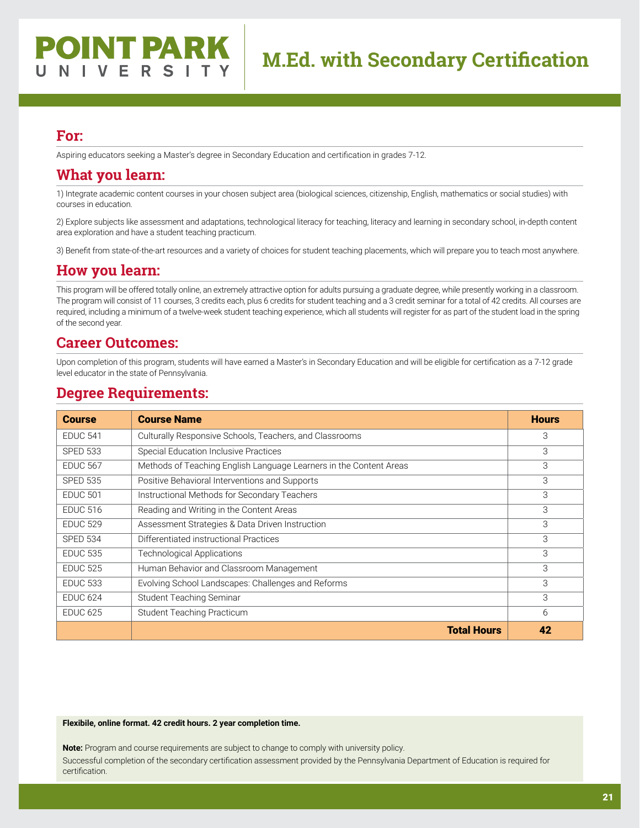Aspiring educators seeking a Master's degree in Secondary Education and certification in grades 7-12.

#### **What you learn:**

1) Integrate academic content courses in your chosen subject area (biological sciences, citizenship, English, mathematics or social studies) with courses in education.

2) Explore subjects like assessment and adaptations, technological literacy for teaching, literacy and learning in secondary school, in-depth content area exploration and have a student teaching practicum.

3) Benefit from state-of-the-art resources and a variety of choices for student teaching placements, which will prepare you to teach most anywhere.

#### **How you learn:**

This program will be offered totally online, an extremely attractive option for adults pursuing a graduate degree, while presently working in a classroom. The program will consist of 11 courses, 3 credits each, plus 6 credits for student teaching and a 3 credit seminar for a total of 42 credits. All courses are required, including a minimum of a twelve-week student teaching experience, which all students will register for as part of the student load in the spring of the second year.

#### **Career Outcomes:**

Upon completion of this program, students will have earned a Master's in Secondary Education and will be eligible for certification as a 7-12 grade level educator in the state of Pennsylvania.

#### **Degree Requirements:**

| <b>Course</b>   | <b>Course Name</b>                                                 | <b>Hours</b> |
|-----------------|--------------------------------------------------------------------|--------------|
| <b>EDUC 541</b> | Culturally Responsive Schools, Teachers, and Classrooms            | 3            |
| <b>SPED 533</b> | <b>Special Education Inclusive Practices</b>                       | 3            |
| <b>EDUC 567</b> | Methods of Teaching English Language Learners in the Content Areas | 3            |
| <b>SPED 535</b> | Positive Behavioral Interventions and Supports                     | 3            |
| <b>EDUC 501</b> | Instructional Methods for Secondary Teachers                       | 3            |
| <b>EDUC 516</b> | Reading and Writing in the Content Areas                           | 3            |
| <b>EDUC 529</b> | Assessment Strategies & Data Driven Instruction                    | 3            |
| <b>SPED 534</b> | Differentiated instructional Practices                             | 3            |
| <b>EDUC 535</b> | <b>Technological Applications</b>                                  | 3            |
| <b>EDUC 525</b> | Human Behavior and Classroom Management                            | 3            |
| <b>EDUC 533</b> | Evolving School Landscapes: Challenges and Reforms                 | 3            |
| <b>EDUC 624</b> | Student Teaching Seminar                                           | 3            |
| <b>EDUC 625</b> | Student Teaching Practicum                                         | 6            |
|                 | <b>Total Hours</b>                                                 | 42           |

#### **Flexibile, online format. 42 credit hours. 2 year completion time.**

**Note:** Program and course requirements are subject to change to comply with university policy. Successful completion of the secondary certification assessment provided by the Pennsylvania Department of Education is required for certification.